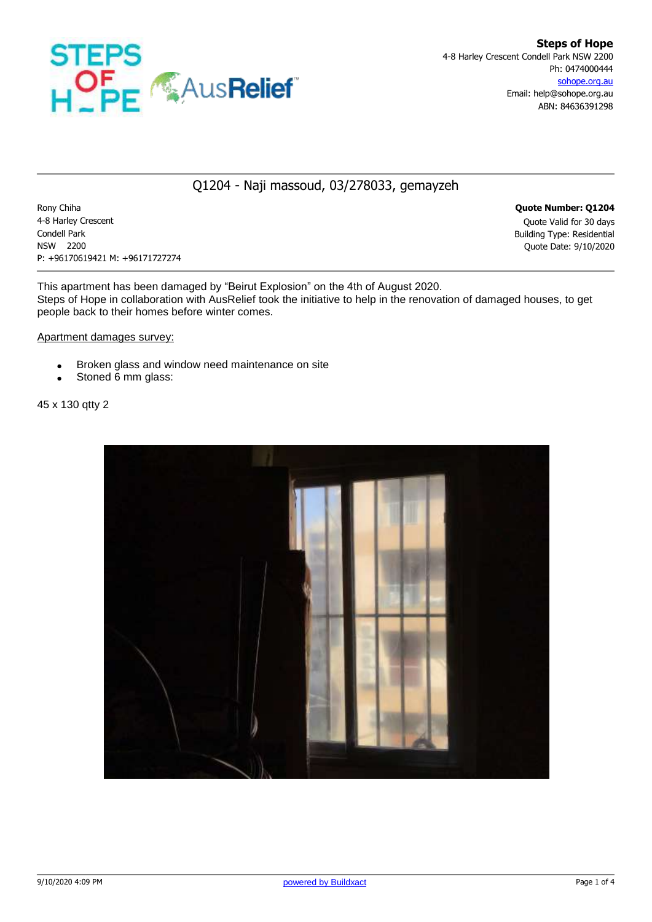

## Q1204 - Naji massoud, 03/278033, gemayzeh

Rony Chiha **Quote Number: Q1204** 4-8 Harley Crescent Quote Valid for 30 days Condell Park Building Type: Residential NSW 2200 Quote Date: 9/10/2020 P: +96170619421 M: +96171727274

This apartment has been damaged by "Beirut Explosion" on the 4th of August 2020. Steps of Hope in collaboration with AusRelief took the initiative to help in the renovation of damaged houses, to get people back to their homes before winter comes.

Apartment damages survey:

- **Broken glass and window need maintenance on site**
- Stoned 6 mm glass:

45 x 130 qtty 2

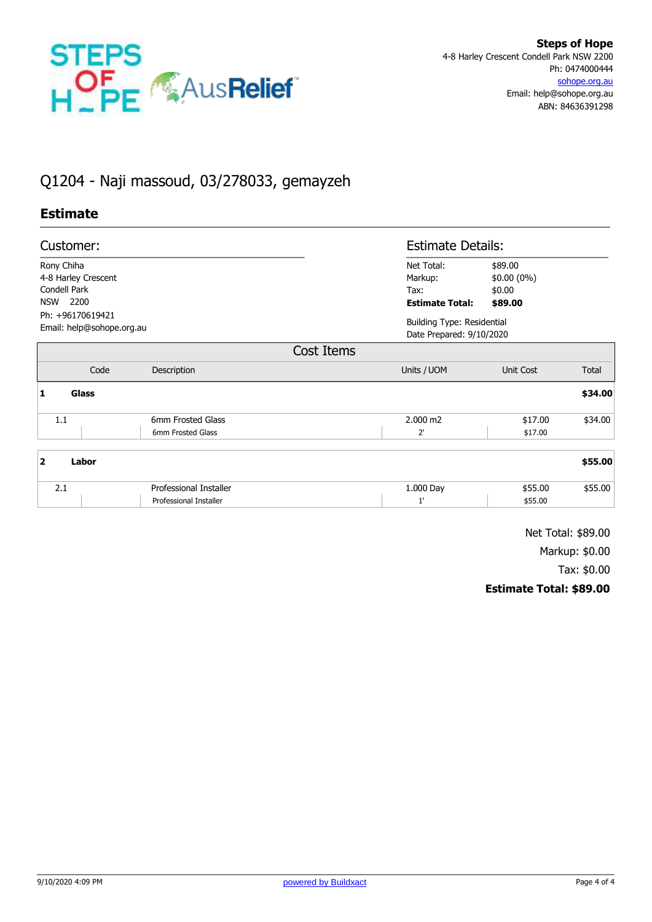

# Q1204 - Naji massoud, 03/278033, gemayzeh

#### **Estimate**

| Customer:                                     |                               |                        | <b>Estimate Details:</b>                                      |               |  |
|-----------------------------------------------|-------------------------------|------------------------|---------------------------------------------------------------|---------------|--|
| Rony Chiha                                    |                               | Net Total:             | \$89.00                                                       |               |  |
| 4-8 Harley Crescent                           |                               | Markup:                | $$0.00(0\%)$                                                  |               |  |
| Condell Park                                  |                               | Tax:                   | \$0.00                                                        |               |  |
| 2200<br><b>NSW</b>                            |                               | <b>Estimate Total:</b> | \$89.00                                                       |               |  |
| Ph: +96170619421<br>Email: help@sohope.org.au |                               |                        | <b>Building Type: Residential</b><br>Date Prepared: 9/10/2020 |               |  |
|                                               |                               | Cost Items             |                                                               |               |  |
| Code                                          | Description                   | Units / UOM            | Unit Cost                                                     | Total         |  |
| <b>Glass</b><br>1                             |                               |                        |                                                               | \$34.00       |  |
| 1.1                                           | 6mm Frosted Glass             | 2.000 m2               | \$17.00                                                       | \$34.00       |  |
|                                               | 6mm Frosted Glass             | $2^{\prime}$           | \$17.00                                                       |               |  |
| $\overline{\mathbf{2}}$<br>Labor              |                               |                        |                                                               | \$55.00       |  |
| 21                                            | <b>Professional Installer</b> | 1.000 Day              | <b>455 00</b>                                                 | <b>455 00</b> |  |

| $-1$ | <b>Installer</b><br><b>Drotoccional</b> | 000 Day | 00.ز  | :55.00 |
|------|-----------------------------------------|---------|-------|--------|
|      | essional Installer                      |         | 55.00 |        |
|      |                                         |         |       |        |

Net Total: \$89.00 Markup: \$0.00

Tax: \$0.00

## **Estimate Total: \$89.00**